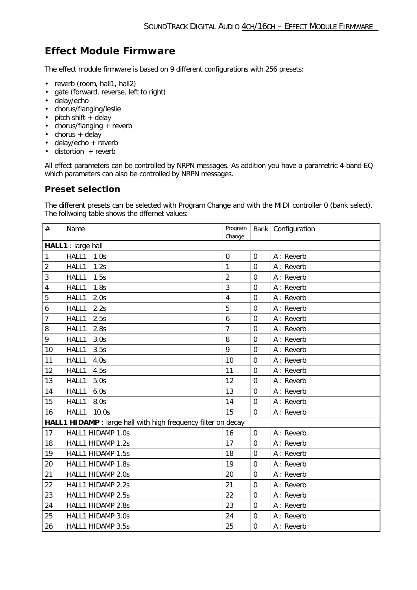## **Effect Module Firmware**

The effect module firmware is based on 9 different configurations with 256 presets:

- reverb (room, hall1, hall2)
- gate (forward, reverse, left to right)
- delay/echo
- chorus/flanging/leslie
- $\bullet$  pitch shift  $+$  delay
- $\bullet$  chorus/flanging  $+$  reverb
- $\bullet$  chorus + delay
- $\bullet$  delay/echo + reverb
- $\bullet$  distortion + reverb

All effect parameters can be controlled by NRPN messages. As addition you have a parametric 4-band EQ which parameters can also be controlled by NRPN messages.

## **Preset selection**

The different presets can be selected with Program Change and with the MIDI controller 0 (bank select). The follwoing table shows the dffernet values:

| #                  | Name                                                          | Program<br>Change |                | Bank Configuration |  |  |  |
|--------------------|---------------------------------------------------------------|-------------------|----------------|--------------------|--|--|--|
| HALL1 : large hall |                                                               |                   |                |                    |  |  |  |
| 1                  | HALL1<br>1.0s                                                 | $\mathbf 0$       | 0              | A : Reverb         |  |  |  |
| $\overline{2}$     | 1.2s<br>HALL1                                                 | 1                 | 0              | A : Reverb         |  |  |  |
| 3                  | 1.5s<br>HALL1                                                 | $\overline{2}$    | 0              | A : Reverb         |  |  |  |
| 4                  | 1.8s<br>HALL1                                                 | 3                 | 0              | A : Reverb         |  |  |  |
| 5                  | HALL1<br>2.0s                                                 | $\overline{4}$    | 0              | A : Reverb         |  |  |  |
| 6                  | 2.2s<br>HALL1                                                 | 5                 | 0              | A : Reverb         |  |  |  |
| 7                  | HALL1<br>2.5s                                                 | 6                 | 0              | A : Reverb         |  |  |  |
| 8                  | HALL1<br>2.8s                                                 | $\overline{7}$    | 0              | A : Reverb         |  |  |  |
| 9                  | 3.0s<br>HALL1                                                 | 8                 | 0              | A : Reverb         |  |  |  |
| 10                 | 3.5s<br>HALL1                                                 | 9                 | 0              | A : Reverb         |  |  |  |
| 11                 | HALL1<br>4.0s                                                 | 10                | 0              | A : Reverb         |  |  |  |
| 12                 | HALL1<br>4.5s                                                 | 11                | 0              | A : Reverb         |  |  |  |
| 13                 | 5.0s<br>HALL1                                                 | 12                | 0              | A : Reverb         |  |  |  |
| 14                 | HALL1<br>6.0s                                                 | 13                | $\overline{0}$ | A : Reverb         |  |  |  |
| 15                 | 8.0s<br>HALL1                                                 | 14                | 0              | A : Reverb         |  |  |  |
| 16                 | HALL1<br>10.0s                                                | 15                | $\overline{0}$ | A : Reverb         |  |  |  |
|                    | HALL1 HIDAMP : large hall with high frequency filter on decay |                   |                |                    |  |  |  |
| 17                 | HALL1 HIDAMP 1.0s                                             | 16                | $\overline{0}$ | A : Reverb         |  |  |  |
| 18                 | HALL1 HIDAMP 1.2s                                             | 17                | $\overline{0}$ | A : Reverb         |  |  |  |
| 19                 | HALL1 HIDAMP 1.5s                                             | 18                | $\overline{0}$ | A: Reverb          |  |  |  |
| 20                 | HALL1 HIDAMP 1.8s                                             | 19                | 0              | A : Reverb         |  |  |  |
| 21                 | HALL1 HIDAMP 2.0s                                             | 20                | $\overline{0}$ | A : Reverb         |  |  |  |
| 22                 | HALL1 HIDAMP 2.2s                                             | 21                | 0              | A : Reverb         |  |  |  |
| 23                 | HALL1 HIDAMP 2.5s                                             | 22                | 0              | A : Reverb         |  |  |  |
| 24                 | HALL1 HIDAMP 2.8s                                             | 23                | 0              | A : Reverb         |  |  |  |
| 25                 | HALL1 HIDAMP 3.0s                                             | 24                | 0              | A : Reverb         |  |  |  |
| 26                 | HALL1 HIDAMP 3.5s                                             | 25                | 0              | A : Reverb         |  |  |  |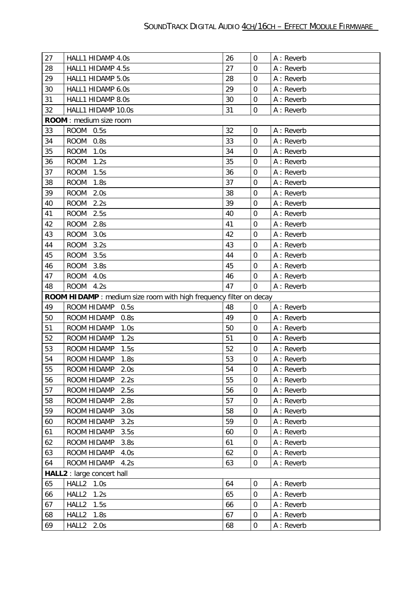| 27 | HALL1 HIDAMP 4.0s                                                         | 26 | $\mathbf 0$    | A : Reverb |
|----|---------------------------------------------------------------------------|----|----------------|------------|
| 28 | HALL1 HIDAMP 4.5s                                                         | 27 | $\overline{0}$ | A : Reverb |
| 29 | HALL1 HIDAMP 5.0s                                                         | 28 | $\mathbf 0$    | A : Reverb |
| 30 | HALL1 HIDAMP 6.0s                                                         | 29 | $\overline{0}$ | A : Reverb |
| 31 | HALL1 HIDAMP 8.0s                                                         | 30 | $\mathbf 0$    | A : Reverb |
| 32 | HALL1 HIDAMP 10.0s                                                        | 31 | $\overline{0}$ | A : Reverb |
|    | ROOM: medium size room                                                    |    |                |            |
| 33 | ROOM 0.5s                                                                 | 32 | $\mathbf 0$    | A : Reverb |
| 34 | <b>ROOM</b><br>0.8s                                                       | 33 | $\mathbf 0$    | A : Reverb |
| 35 | <b>ROOM</b><br>1.0s                                                       | 34 | $\mathbf 0$    | A : Reverb |
| 36 | 1.2s<br><b>ROOM</b>                                                       | 35 | $\overline{0}$ | A: Reverb  |
| 37 | <b>ROOM</b><br>1.5s                                                       | 36 | $\mathbf 0$    | A : Reverb |
| 38 | <b>ROOM</b><br>1.8s                                                       | 37 | $\mathbf 0$    | A: Reverb  |
| 39 | <b>ROOM</b><br>2.0s                                                       | 38 | $\mathbf 0$    | A : Reverb |
| 40 | <b>ROOM</b><br>2.2s                                                       | 39 | $\overline{0}$ | A : Reverb |
| 41 | <b>ROOM</b><br>2.5s                                                       | 40 | $\mathbf 0$    | A : Reverb |
| 42 | <b>ROOM</b><br>2.8s                                                       | 41 | $\overline{0}$ | A : Reverb |
| 43 | <b>ROOM</b><br>3.0s                                                       | 42 | $\mathbf 0$    | A : Reverb |
| 44 | <b>ROOM</b><br>3.2s                                                       | 43 | $\overline{0}$ | A : Reverb |
| 45 | <b>ROOM</b><br>3.5s                                                       | 44 | $\mathbf 0$    | A : Reverb |
| 46 | <b>ROOM</b><br>3.8s                                                       | 45 | $\mathbf 0$    | A : Reverb |
| 47 | <b>ROOM</b><br>4.0s                                                       | 46 | $\overline{0}$ | A : Reverb |
| 48 | <b>ROOM</b><br>4.2s                                                       | 47 | $\Omega$       | A : Reverb |
|    | <b>ROOM HIDAMP</b> : medium size room with high frequency filter on decay |    |                |            |
| 49 | ROOM HIDAMP<br>0.5s                                                       | 48 | $\mathbf 0$    | A : Reverb |
| 50 | ROOM HIDAMP<br>0.8s                                                       | 49 | $\mathbf 0$    | A: Reverb  |
| 51 | ROOM HIDAMP<br>1.0s                                                       | 50 | $\mathbf 0$    | A : Reverb |
| 52 | ROOM HIDAMP<br>1.2s                                                       | 51 | $\mathbf 0$    | A : Reverb |
| 53 | ROOM HIDAMP<br>1.5s                                                       | 52 | $\mathbf 0$    | A : Reverb |
| 54 | ROOM HIDAMP<br>1.8s                                                       | 53 | $\overline{0}$ | A : Reverb |
| 55 | ROOM HIDAMP<br>2.0s                                                       | 54 | $\mathbf 0$    | A: Reverb  |
| 56 | ROOM HIDAMP<br>2.2s                                                       | 55 | $\mathbf 0$    | A : Reverb |
| 57 | ROOM HIDAMP<br>2.5s                                                       | 56 | $\mathbf 0$    | A : Reverb |
| 58 | ROOM HIDAMP<br>2.8s                                                       | 57 | $\overline{0}$ | A: Reverb  |
| 59 | ROOM HIDAMP<br>3.0s                                                       | 58 | $\mathbf 0$    | A : Reverb |
| 60 | ROOM HIDAMP<br>3.2s                                                       | 59 | $\overline{0}$ | A : Reverb |
| 61 | ROOM HIDAMP<br>3.5s                                                       | 60 | $\mathbf 0$    | A : Reverb |
| 62 | ROOM HIDAMP<br>3.8s                                                       | 61 | $\mathbf 0$    | A : Reverb |
| 63 | ROOM HIDAMP<br>4.0s                                                       | 62 | $\mathbf 0$    | A: Reverb  |
| 64 | ROOM HIDAMP<br>4.2s                                                       | 63 | $\mathbf 0$    | A: Reverb  |
|    | <b>HALL2</b> : large concert hall                                         |    |                |            |
| 65 | HALL2 1.0s                                                                | 64 | $\mathbf 0$    | A : Reverb |
| 66 | HALL <sub>2</sub><br>1.2s                                                 | 65 | $\mathbf 0$    | A: Reverb  |
| 67 | HALL <sub>2</sub><br>1.5s                                                 | 66 | $\mathbf 0$    | A : Reverb |
| 68 | HALL2<br>1.8s                                                             | 67 | $\mathbf 0$    | A: Reverb  |
|    |                                                                           | 68 | $\mathbf 0$    | A : Reverb |
| 69 | HALL <sub>2</sub><br>2.0s                                                 |    |                |            |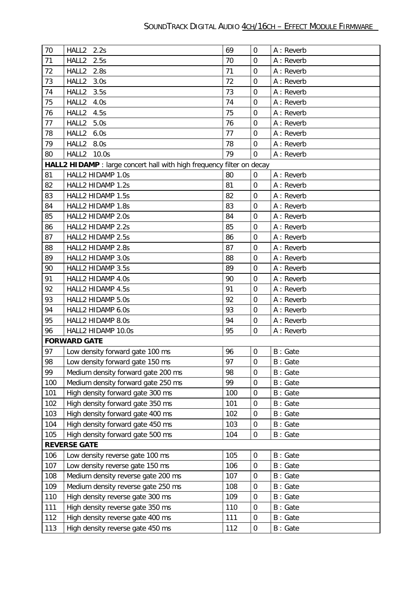| 70                  | HALL2 2.2s                                                            | 69  | $\mathbf 0$      | A : Reverb |  |  |
|---------------------|-----------------------------------------------------------------------|-----|------------------|------------|--|--|
| 71                  | HALL2<br>2.5s                                                         | 70  | $\overline{0}$   | A: Reverb  |  |  |
| 72                  | HALL <sub>2</sub><br>2.8s                                             | 71  | $\overline{0}$   | A : Reverb |  |  |
| 73                  | HALL2<br>3.0s                                                         | 72  | $\mathbf 0$      | A : Reverb |  |  |
| 74                  | HALL2<br>3.5s                                                         | 73  | $\mathbf 0$      | A : Reverb |  |  |
| 75                  | HALL2<br>4.0s                                                         | 74  | $\overline{0}$   | A : Reverb |  |  |
| 76                  | HALL2<br>4.5s                                                         | 75  | $\mathbf 0$      | A : Reverb |  |  |
| 77                  | HALL2<br>5.0s                                                         | 76  | $\mathbf 0$      | A: Reverb  |  |  |
| 78                  | HALL2<br>6.0s                                                         | 77  | $\mathbf 0$      | A : Reverb |  |  |
| 79                  | HALL <sub>2</sub><br>8.0s                                             | 78  | $\mathbf 0$      | A : Reverb |  |  |
| 80                  | HALL <sub>2</sub><br>10.0s                                            | 79  | $\overline{0}$   | A : Reverb |  |  |
|                     | HALL2 HIDAMP : large concert hall with high frequency filter on decay |     |                  |            |  |  |
| 81                  | HALL2 HIDAMP 1.0s                                                     | 80  | $\overline{0}$   | A : Reverb |  |  |
| 82                  | HALL2 HIDAMP 1.2s                                                     | 81  | $\mathbf 0$      | A : Reverb |  |  |
| 83                  | HALL2 HIDAMP 1.5s                                                     | 82  | $\mathbf 0$      | A : Reverb |  |  |
| 84                  | HALL2 HIDAMP 1.8s                                                     | 83  | $\mathbf 0$      | A : Reverb |  |  |
| 85                  | HALL2 HIDAMP 2.0s                                                     | 84  | $\mathbf 0$      | A : Reverb |  |  |
| 86                  | HALL2 HIDAMP 2.2s                                                     | 85  | $\overline{0}$   | A : Reverb |  |  |
| 87                  | HALL2 HIDAMP 2.5s                                                     | 86  | $\mathbf 0$      | A : Reverb |  |  |
| 88                  | HALL2 HIDAMP 2.8s                                                     | 87  | $\overline{0}$   | A : Reverb |  |  |
| 89                  | HALL2 HIDAMP 3.0s                                                     | 88  | $\mathbf 0$      | A : Reverb |  |  |
| 90                  | HALL2 HIDAMP 3.5s                                                     | 89  | $\overline{0}$   | A : Reverb |  |  |
| 91                  | HALL2 HIDAMP 4.0s                                                     | 90  | $\overline{0}$   | A : Reverb |  |  |
| 92                  | HALL2 HIDAMP 4.5s                                                     | 91  | $\mathbf 0$      | A: Reverb  |  |  |
| 93                  | HALL2 HIDAMP 5.0s                                                     | 92  | $\mathbf 0$      | A : Reverb |  |  |
| 94                  | HALL2 HIDAMP 6.0s                                                     | 93  | $\overline{0}$   | A : Reverb |  |  |
| 95                  | HALL2 HIDAMP 8.0s                                                     | 94  | $\mathbf 0$      | A : Reverb |  |  |
| 96                  | HALL2 HIDAMP 10.0s                                                    | 95  | $\mathbf 0$      | A : Reverb |  |  |
|                     | <b>FORWARD GATE</b>                                                   |     |                  |            |  |  |
| 97                  | Low density forward gate 100 ms                                       | 96  | $\mathbf 0$      | B: Gate    |  |  |
| 98                  | Low density forward gate 150 ms                                       | 97  | $\boldsymbol{0}$ | B: Gate    |  |  |
| 99                  | Medium density forward gate 200 ms                                    | 98  | $\mathbf 0$      | B: Gate    |  |  |
| 100                 | Medium density forward gate 250 ms                                    | 99  | $\boldsymbol{0}$ | B: Gate    |  |  |
| 101                 | High density forward gate 300 ms                                      | 100 | $\mathbf 0$      | B: Gate    |  |  |
| 102                 | High density forward gate 350 ms                                      | 101 | $\boldsymbol{0}$ | B: Gate    |  |  |
| 103                 | High density forward gate 400 ms                                      | 102 | $\boldsymbol{0}$ | B: Gate    |  |  |
| 104                 | High density forward gate 450 ms                                      | 103 | $\boldsymbol{0}$ | B: Gate    |  |  |
| 105                 | High density forward gate 500 ms                                      | 104 | $\mathbf 0$      | B: Gate    |  |  |
| <b>REVERSE GATE</b> |                                                                       |     |                  |            |  |  |
| 106                 | Low density reverse gate 100 ms                                       | 105 | $\overline{0}$   | B: Gate    |  |  |
| 107                 | Low density reverse gate 150 ms                                       | 106 | $\mathbf 0$      | B: Gate    |  |  |
| 108                 | Medium density reverse gate 200 ms                                    | 107 | $\mathbf 0$      | B: Gate    |  |  |
| 109                 | Medium density reverse gate 250 ms                                    | 108 | $\boldsymbol{0}$ | B: Gate    |  |  |
| 110                 | High density reverse gate 300 ms                                      | 109 | $\boldsymbol{0}$ | B: Gate    |  |  |
| 111                 | High density reverse gate 350 ms                                      | 110 | $\boldsymbol{0}$ | B: Gate    |  |  |
| 112                 | High density reverse gate 400 ms                                      | 111 | $\overline{0}$   | B: Gate    |  |  |
| 113                 | High density reverse gate 450 ms                                      | 112 | $\boldsymbol{0}$ | B: Gate    |  |  |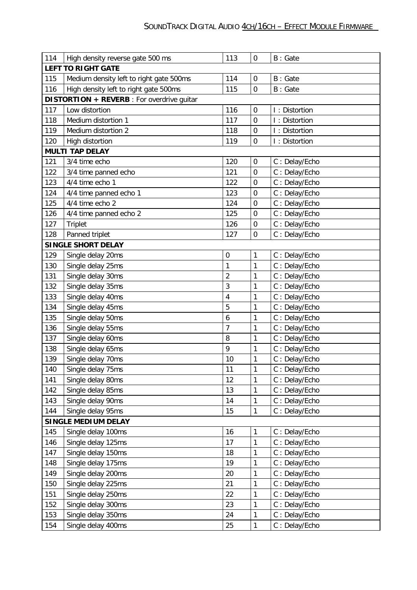| 114                       | High density reverse gate 500 ms                  | 113                                | $\mathbf 0$      | B: Gate       |  |  |  |
|---------------------------|---------------------------------------------------|------------------------------------|------------------|---------------|--|--|--|
| <b>LEFT TO RIGHT GATE</b> |                                                   |                                    |                  |               |  |  |  |
| 115                       | Medium density left to right gate 500ms           | 114<br>B: Gate<br>$\boldsymbol{0}$ |                  |               |  |  |  |
| 116                       | High density left to right gate 500ms             | 115                                | $\mathbf 0$      | B: Gate       |  |  |  |
|                           | <b>DISTORTION + REVERB</b> : For overdrive guitar |                                    |                  |               |  |  |  |
| 117                       | Low distortion                                    | 116                                | $\boldsymbol{0}$ | I: Distortion |  |  |  |
| 118                       | Medium distortion 1                               | 117                                | $\mathbf 0$      | I: Distortion |  |  |  |
| 119                       | Medium distortion 2                               | 118                                | $\mathbf 0$      | I: Distortion |  |  |  |
| 120                       | High distortion                                   | 119                                | $\mathbf 0$      | I: Distortion |  |  |  |
|                           | <b>MULTI TAP DELAY</b>                            |                                    |                  |               |  |  |  |
| 121                       | 3/4 time echo                                     | 120                                | $\boldsymbol{0}$ | C: Delay/Echo |  |  |  |
| 122                       | 3/4 time panned echo                              | 121                                | $\overline{0}$   | C: Delay/Echo |  |  |  |
| 123                       | 4/4 time echo 1                                   | 122                                | $\mathbf 0$      | C: Delay/Echo |  |  |  |
| 124                       | 4/4 time panned echo 1                            | 123                                | $\mathbf 0$      | C: Delay/Echo |  |  |  |
| 125                       | 4/4 time echo 2                                   | 124                                | $\mathbf 0$      | C: Delay/Echo |  |  |  |
| 126                       | 4/4 time panned echo 2                            | 125                                | $\mathbf 0$      | C: Delay/Echo |  |  |  |
| 127                       | Triplet                                           | 126                                | $\boldsymbol{0}$ | C: Delay/Echo |  |  |  |
| 128                       | Panned triplet                                    | 127                                | $\mathbf 0$      | C: Delay/Echo |  |  |  |
|                           | <b>SINGLE SHORT DELAY</b>                         |                                    |                  |               |  |  |  |
| 129                       | Single delay 20ms                                 | $\boldsymbol{0}$                   | 1                | C: Delay/Echo |  |  |  |
| 130                       | Single delay 25ms                                 | 1                                  | 1                | C: Delay/Echo |  |  |  |
| 131                       | Single delay 30ms                                 | 2                                  | 1                | C: Delay/Echo |  |  |  |
| 132                       | Single delay 35ms                                 | 3                                  | 1                | C: Delay/Echo |  |  |  |
| 133                       | Single delay 40ms                                 | 4                                  | 1                | C: Delay/Echo |  |  |  |
| 134                       | Single delay 45ms                                 | 5                                  | 1                | C: Delay/Echo |  |  |  |
| 135                       | Single delay 50ms                                 | 6                                  | 1                | C: Delay/Echo |  |  |  |
| 136                       | Single delay 55ms                                 | $\overline{7}$                     | 1                | C: Delay/Echo |  |  |  |
| 137                       | Single delay 60ms                                 | 8                                  | 1                | C: Delay/Echo |  |  |  |
| 138                       | Single delay 65ms                                 | 9                                  | 1                | C: Delay/Echo |  |  |  |
| 139                       | Single delay 70ms                                 | 10                                 | 1                | C: Delay/Echo |  |  |  |
| 140                       | Single delay 75ms                                 | 11                                 | 1                | C: Delay/Echo |  |  |  |
| 141                       | Single delay 80ms                                 | 12                                 | 1                | C: Delay/Echo |  |  |  |
| 142                       | Single delay 85ms                                 | 13                                 | 1                | C: Delay/Echo |  |  |  |
| 143                       | Single delay 90ms                                 | 14                                 | 1                | C: Delay/Echo |  |  |  |
| 144                       | Single delay 95ms                                 | 15                                 | 1                | C: Delay/Echo |  |  |  |
|                           | <b>SINGLE MEDIUM DELAY</b>                        |                                    |                  |               |  |  |  |
| 145                       | Single delay 100ms                                | 16                                 | 1                | C: Delay/Echo |  |  |  |
| 146                       | Single delay 125ms                                | 17                                 | 1                | C: Delay/Echo |  |  |  |
| 147                       | Single delay 150ms                                | 18                                 | 1                | C: Delay/Echo |  |  |  |
| 148                       | Single delay 175ms                                | 19                                 | 1                | C: Delay/Echo |  |  |  |
| 149                       | Single delay 200ms                                | 20                                 | 1                | C: Delay/Echo |  |  |  |
| 150                       | Single delay 225ms                                | 21                                 | $\mathbf 1$      | C: Delay/Echo |  |  |  |
| 151                       | Single delay 250ms                                | 22                                 | 1                | C: Delay/Echo |  |  |  |
| 152                       | Single delay 300ms                                | 23                                 | 1                | C: Delay/Echo |  |  |  |
| 153                       | Single delay 350ms                                | 24                                 | 1                | C: Delay/Echo |  |  |  |
| 154                       | Single delay 400ms                                | 25                                 | 1                | C: Delay/Echo |  |  |  |
|                           |                                                   |                                    |                  |               |  |  |  |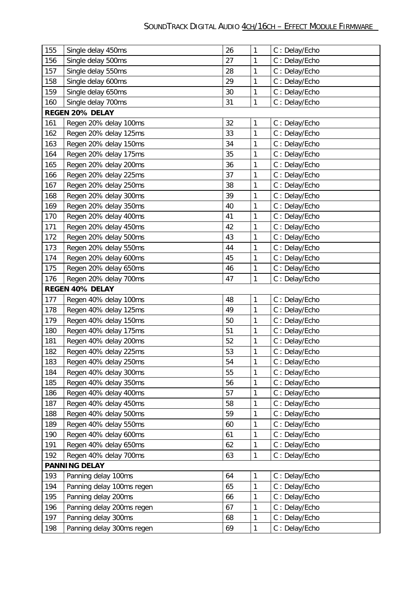| 155 | Single delay 450ms        | 26 | 1            | C: Delay/Echo |  |  |  |
|-----|---------------------------|----|--------------|---------------|--|--|--|
| 156 | Single delay 500ms        | 27 | 1            | C: Delay/Echo |  |  |  |
| 157 | Single delay 550ms        | 28 | $\mathbf{1}$ | C: Delay/Echo |  |  |  |
| 158 | Single delay 600ms        | 29 | 1            | C: Delay/Echo |  |  |  |
| 159 | Single delay 650ms        | 30 | 1            | C: Delay/Echo |  |  |  |
| 160 | Single delay 700ms        | 31 | 1            | C: Delay/Echo |  |  |  |
|     | REGEN 20% DELAY           |    |              |               |  |  |  |
| 161 | Regen 20% delay 100ms     | 32 | $\mathbf{1}$ | C: Delay/Echo |  |  |  |
| 162 | Regen 20% delay 125ms     | 33 | $\mathbf 1$  | C: Delay/Echo |  |  |  |
| 163 | Regen 20% delay 150ms     | 34 | 1            | C: Delay/Echo |  |  |  |
| 164 | Regen 20% delay 175ms     | 35 | $\mathbf 1$  | C: Delay/Echo |  |  |  |
| 165 | Regen 20% delay 200ms     | 36 | $\mathbf{1}$ | C: Delay/Echo |  |  |  |
| 166 | Regen 20% delay 225ms     | 37 | 1            | C: Delay/Echo |  |  |  |
| 167 | Regen 20% delay 250ms     | 38 | 1            | C: Delay/Echo |  |  |  |
| 168 | Regen 20% delay 300ms     | 39 | $\mathbf 1$  | C: Delay/Echo |  |  |  |
| 169 | Regen 20% delay 350ms     | 40 | $\mathbf{1}$ | C: Delay/Echo |  |  |  |
| 170 | Regen 20% delay 400ms     | 41 | 1            | C: Delay/Echo |  |  |  |
| 171 | Regen 20% delay 450ms     | 42 | 1            | C: Delay/Echo |  |  |  |
| 172 | Regen 20% delay 500ms     | 43 | 1            | C: Delay/Echo |  |  |  |
| 173 | Regen 20% delay 550ms     | 44 | 1            | C: Delay/Echo |  |  |  |
| 174 | Regen 20% delay 600ms     | 45 | 1            | C: Delay/Echo |  |  |  |
| 175 | Regen 20% delay 650ms     | 46 | 1            | C: Delay/Echo |  |  |  |
| 176 | Regen 20% delay 700ms     | 47 | 1            | C: Delay/Echo |  |  |  |
|     | REGEN 40% DELAY           |    |              |               |  |  |  |
| 177 | Regen 40% delay 100ms     | 48 | $\mathbf{1}$ | C: Delay/Echo |  |  |  |
| 178 | Regen 40% delay 125ms     | 49 | $\mathbf 1$  | C: Delay/Echo |  |  |  |
| 179 | Regen 40% delay 150ms     | 50 | 1            | C: Delay/Echo |  |  |  |
| 180 | Regen 40% delay 175ms     | 51 | $\mathbf 1$  | C: Delay/Echo |  |  |  |
| 181 | Regen 40% delay 200ms     | 52 | 1            | C: Delay/Echo |  |  |  |
| 182 | Regen 40% delay 225ms     | 53 | 1            | C: Delay/Echo |  |  |  |
| 183 | Regen 40% delay 250ms     | 54 | 1            | C: Delay/Echo |  |  |  |
| 184 | Regen 40% delay 300ms     | 55 | 1            | C: Delay/Echo |  |  |  |
| 185 | Regen 40% delay 350ms     | 56 | 1            | C: Delay/Echo |  |  |  |
| 186 | Regen 40% delay 400ms     | 57 | 1            | C: Delay/Echo |  |  |  |
| 187 | Regen 40% delay 450ms     | 58 | 1            | C: Delay/Echo |  |  |  |
| 188 | Regen 40% delay 500ms     | 59 | 1            | C: Delay/Echo |  |  |  |
| 189 | Regen 40% delay 550ms     | 60 | 1            | C: Delay/Echo |  |  |  |
| 190 | Regen 40% delay 600ms     | 61 | 1            | C: Delay/Echo |  |  |  |
| 191 | Regen 40% delay 650ms     | 62 | 1            | C: Delay/Echo |  |  |  |
| 192 | Regen 40% delay 700ms     | 63 | 1            | C: Delay/Echo |  |  |  |
|     | <b>PANNING DELAY</b>      |    |              |               |  |  |  |
| 193 | Panning delay 100ms       | 64 | 1            | C: Delay/Echo |  |  |  |
| 194 | Panning delay 100ms regen | 65 | $\mathbf 1$  | C: Delay/Echo |  |  |  |
| 195 | Panning delay 200ms       | 66 | 1            | C: Delay/Echo |  |  |  |
| 196 | Panning delay 200ms regen | 67 | 1            | C: Delay/Echo |  |  |  |
| 197 | Panning delay 300ms       | 68 | 1            | C: Delay/Echo |  |  |  |
| 198 | Panning delay 300ms regen | 69 | 1            | C: Delay/Echo |  |  |  |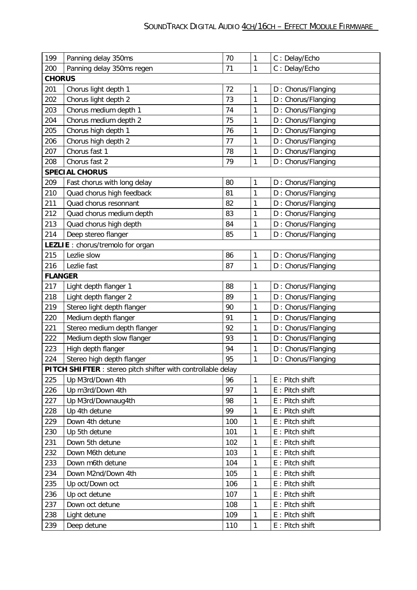| 199            | Panning delay 350ms                                          | 70  | $\mathbf{1}$ | C: Delay/Echo      |
|----------------|--------------------------------------------------------------|-----|--------------|--------------------|
| 200            | Panning delay 350ms regen                                    | 71  | $\mathbf{1}$ | C: Delay/Echo      |
| <b>CHORUS</b>  |                                                              |     |              |                    |
| 201            | Chorus light depth 1                                         | 72  | $\mathbf{1}$ | D: Chorus/Flanging |
| 202            | Chorus light depth 2                                         | 73  | $\mathbf{1}$ | D: Chorus/Flanging |
| 203            | Chorus medium depth 1                                        | 74  | $\mathbf{1}$ | D: Chorus/Flanging |
| 204            | Chorus medium depth 2                                        | 75  | $\mathbf{1}$ | D: Chorus/Flanging |
| 205            | Chorus high depth 1                                          | 76  | $\mathbf{1}$ | D: Chorus/Flanging |
| 206            | Chorus high depth 2                                          | 77  | $\mathbf{1}$ | D: Chorus/Flanging |
| 207            | Chorus fast 1                                                | 78  | $\mathbf{1}$ | D: Chorus/Flanging |
| 208            | Chorus fast 2                                                | 79  | $\mathbf{1}$ | D: Chorus/Flanging |
|                | <b>SPECIAL CHORUS</b>                                        |     |              |                    |
| 209            | Fast chorus with long delay                                  | 80  | $\mathbf{1}$ | D: Chorus/Flanging |
| 210            | Quad chorus high feedback                                    | 81  | $\mathbf{1}$ | D: Chorus/Flanging |
| 211            | Quad chorus resonnant                                        | 82  | $\mathbf{1}$ | D: Chorus/Flanging |
| 212            | Quad chorus medium depth                                     | 83  | 1            | D: Chorus/Flanging |
| 213            | Quad chorus high depth                                       | 84  | $\mathbf{1}$ | D: Chorus/Flanging |
| 214            | Deep stereo flanger                                          | 85  | $\mathbf{1}$ | D: Chorus/Flanging |
|                | LEZLIE : chorus/tremolo for organ                            |     |              |                    |
| 215            | Lezlie slow                                                  | 86  | $\mathbf{1}$ | D: Chorus/Flanging |
| 216            | Lezlie fast                                                  | 87  | $\mathbf{1}$ | D: Chorus/Flanging |
| <b>FLANGER</b> |                                                              |     |              |                    |
| 217            | Light depth flanger 1                                        | 88  | $\mathbf{1}$ | D: Chorus/Flanging |
| 218            | Light depth flanger 2                                        | 89  | $\mathbf{1}$ | D: Chorus/Flanging |
| 219            | Stereo light depth flanger                                   | 90  | $\mathbf{1}$ | D: Chorus/Flanging |
| 220            | Medium depth flanger                                         | 91  | $\mathbf{1}$ | D: Chorus/Flanging |
| 221            | Stereo medium depth flanger                                  | 92  | $\mathbf{1}$ | D: Chorus/Flanging |
| 222            | Medium depth slow flanger                                    | 93  | $\mathbf{1}$ | D: Chorus/Flanging |
| 223            | High depth flanger                                           | 94  | 1            | D: Chorus/Flanging |
| 224            | Stereo high depth flanger                                    | 95  | $\mathbf{1}$ | D: Chorus/Flanging |
|                | PITCH SHIFTER : stereo pitch shifter with controllable delay |     |              |                    |
| 225            | Up M3rd/Down 4th                                             | 96  | $\mathbf{1}$ | E: Pitch shift     |
| 226            | Up m3rd/Down 4th                                             | 97  | $\mathbf{1}$ | E : Pitch shift    |
| 227            | Up M3rd/Downaug4th                                           | 98  | $\mathbf{1}$ | E : Pitch shift    |
| 228            | Up 4th detune                                                | 99  | 1            | E: Pitch shift     |
| 229            | Down 4th detune                                              | 100 | $\mathbf{1}$ | E: Pitch shift     |
| 230            | Up 5th detune                                                | 101 | $\mathbf{1}$ | E : Pitch shift    |
| 231            | Down 5th detune                                              | 102 | $\mathbf{1}$ | E: Pitch shift     |
| 232            | Down M6th detune                                             | 103 | $\mathbf{1}$ | E : Pitch shift    |
| 233            | Down m6th detune                                             | 104 | $\mathbf{1}$ | E : Pitch shift    |
| 234            | Down M2nd/Down 4th                                           | 105 | 1            | E : Pitch shift    |
| 235            | Up oct/Down oct                                              | 106 | $\mathbf{1}$ | E: Pitch shift     |
| 236            | Up oct detune                                                | 107 | $\mathbf{1}$ | E : Pitch shift    |
| 237            | Down oct detune                                              | 108 | $\mathbf{1}$ | E : Pitch shift    |
| 238            | Light detune                                                 | 109 | $\mathbf{1}$ | E : Pitch shift    |
| 239            | Deep detune                                                  | 110 | $\mathbf{1}$ | E : Pitch shift    |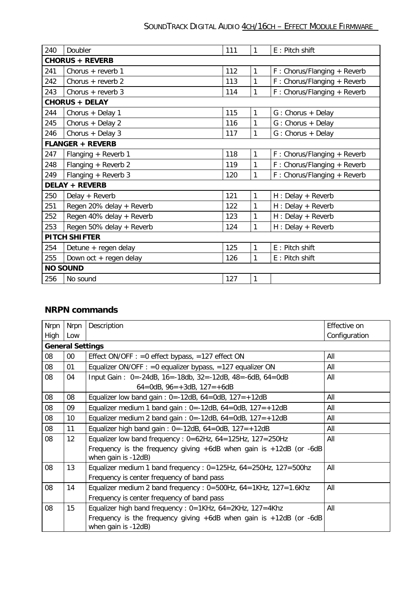| 240                    | Doubler                  | 111 | 1 | E: Pitch shift                |  |  |  |
|------------------------|--------------------------|-----|---|-------------------------------|--|--|--|
| <b>CHORUS + REVERB</b> |                          |     |   |                               |  |  |  |
| 241                    | Chorus + reverb 1        | 112 | 1 | F: Chorus/Flanging + Reverb   |  |  |  |
| 242                    | Chorus $+$ reverb 2      | 113 | 1 | F: Chorus/Flanging + Reverb   |  |  |  |
| 243                    | Chorus $+$ reverb 3      | 114 | 1 | F: Chorus/Flanging + Reverb   |  |  |  |
|                        | <b>CHORUS + DELAY</b>    |     |   |                               |  |  |  |
| 244                    | Chorus + Delay 1         | 115 | 1 | G: Chorus + Delay             |  |  |  |
| 245                    | Chorus + Delay 2         | 116 | 1 | G: Chorus + Delay             |  |  |  |
| 246                    | Chorus + Delay $3$       | 117 | 1 | G: Chorus + Delay             |  |  |  |
|                        | <b>FLANGER + REVERB</b>  |     |   |                               |  |  |  |
| 247                    | Flanging + Reverb 1      | 118 | 1 | $F: Chorus/Flanging + Reverb$ |  |  |  |
| 248                    | Flanging + Reverb 2      | 119 | 1 | F: Chorus/Flanging + Reverb   |  |  |  |
| 249                    | Flanging + Reverb 3      | 120 | 1 | F: Chorus/Flanging + Reverb   |  |  |  |
|                        | <b>DELAY + REVERB</b>    |     |   |                               |  |  |  |
| 250                    | Delay + Reverb           | 121 | 1 | H : Delay + Reverb            |  |  |  |
| 251                    | Regen 20% delay + Reverb | 122 | 1 | H : Delay + Reverb            |  |  |  |
| 252                    | Regen 40% delay + Reverb | 123 | 1 | H : Delay + Reverb            |  |  |  |
| 253                    | Regen 50% delay + Reverb | 124 | 1 | H : Delay + Reverb            |  |  |  |
| <b>PITCH SHIFTER</b>   |                          |     |   |                               |  |  |  |
| 254                    | Detune + regen delay     | 125 | 1 | E: Pitch shift                |  |  |  |
| 255                    | Down oct + regen delay   | 126 | 1 | E: Pitch shift                |  |  |  |
|                        | <b>NO SOUND</b>          |     |   |                               |  |  |  |
| 256                    | No sound                 | 127 | 1 |                               |  |  |  |

## **NRPN commands**

| <b>Nrpn</b> | <b>Nrpn</b>             | Description                                                                                        | Effective on  |  |  |  |  |
|-------------|-------------------------|----------------------------------------------------------------------------------------------------|---------------|--|--|--|--|
| High        | Low                     |                                                                                                    | Configuration |  |  |  |  |
|             | <b>General Settings</b> |                                                                                                    |               |  |  |  |  |
| 08          | $00\,$                  | Effect ON/OFF : = 0 effect bypass, = 127 effect ON                                                 | All           |  |  |  |  |
| 08          | 01                      | Equalizer ON/OFF : = 0 equalizer bypass, = 127 equalizer ON                                        | All           |  |  |  |  |
| 08          | 04                      | Input Gain: 0=-24dB, 16=-18db, 32=-12dB, 48=-6dB, 64=0dB                                           | All           |  |  |  |  |
|             |                         | $64 =$ OdB, $96 = +3$ dB, $127 = +6$ dB                                                            |               |  |  |  |  |
| 08          | 08                      | Equalizer low band gain: $0 = -12dB$ , $64 = OdB$ , $127 = +12dB$                                  | All           |  |  |  |  |
| 08          | 09                      | Equalizer medium 1 band gain: $0 = -12dB$ , $64 = 0dB$ , $127 = +12dB$                             | All           |  |  |  |  |
| 08          | 10 <sup>1</sup>         | Equalizer medium 2 band gain: $0 = -12dB$ , $64 = OdB$ , $127 = +12dB$                             | All           |  |  |  |  |
| 08          | 11                      | Equalizer high band gain: $0 = -12dB$ , $64 = OdB$ , $127 = +12dB$                                 | All           |  |  |  |  |
| 08          | 12                      | Equalizer low band frequency: $0=62$ Hz, $64=125$ Hz, $127=250$ Hz                                 | All           |  |  |  |  |
|             |                         | Frequency is the frequency giving $+6$ dB when gain is $+12$ dB (or $-6$ dB<br>when gain is -12dB) |               |  |  |  |  |
| 08          | 13                      | Equalizer medium 1 band frequency : $0=125$ Hz, $64=25$ OHz, $127=50$ Ohz                          | All           |  |  |  |  |
|             |                         | Frequency is center frequency of band pass                                                         |               |  |  |  |  |
| 08          | 14                      | Equalizer medium 2 band frequency : $0=500$ Hz, $64=1$ KHz, $127=1.6$ Khz                          | All           |  |  |  |  |
|             |                         | Frequency is center frequency of band pass                                                         |               |  |  |  |  |
| 08          | 15                      | Equalizer high band frequency : 0=1KHz, 64=2KHz, 127=4Khz                                          | All           |  |  |  |  |
|             |                         | Frequency is the frequency giving $+6$ dB when gain is $+12$ dB (or $-6$ dB<br>when gain is -12dB) |               |  |  |  |  |